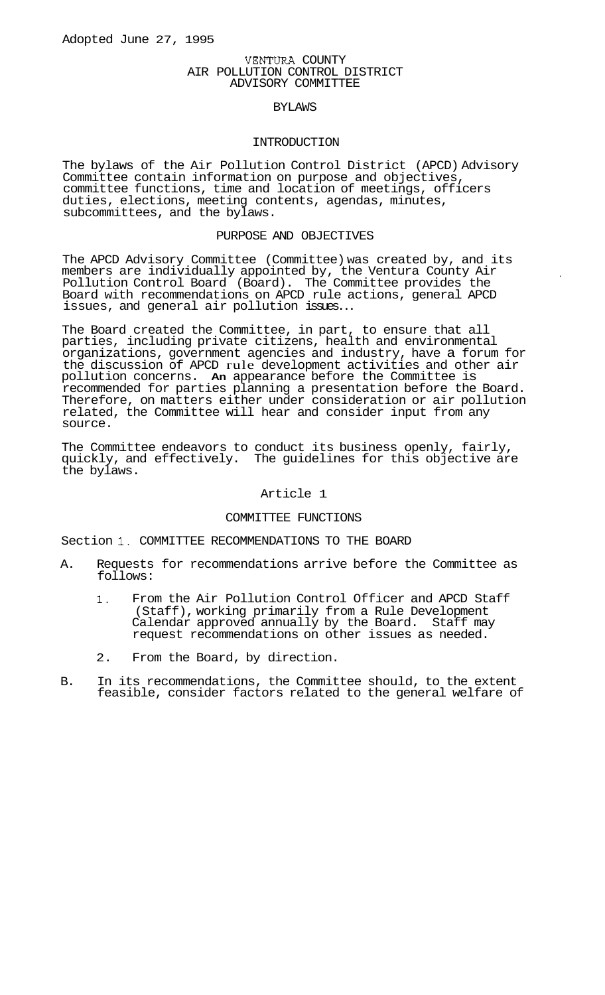## VENTURA COUNTY AIR POLLUTION CONTROL DISTRICT ADVISORY COMMITTEE

## BYLAWS

#### INTRODUCTION

The bylaws of the Air Pollution Control District (APCD) Advisory Committee contain information on purpose and objectives, committee functions, time and location of meetings, officers duties, elections, meeting contents, agendas, minutes, subcommittees, and the bylaws.

### PURPOSE AND OBJECTIVES

The APCD Advisory Committee (Committee) was created by, and its members are individually appointed by, the Ventura County Air Pollution Control Board (Board). The Committee provides the Board with recommendations on APCD rule actions, general APCD issues, and general air pollution issues...

The Board created the Committee, in part, to ensure that all parties, including private citizens, health and environmental organizations, government agencies and industry, have a forum for the discussion of APCD rule development activities and other air pollution concerns. **An** appearance before the Committee is recommended for parties planning a presentation before the Board. Therefore, on matters either under consideration or air pollution related, the Committee will hear and consider input from any source.

The Committee endeavors to conduct its business openly, fairly, quickly, and effectively. The guidelines for this objective are the bylaws.

## Article 1

#### COMMITTEE FUNCTIONS

Section 1. COMMITTEE RECOMMENDATIONS TO THE BOARD

- A. Requests for recommendations arrive before the Committee as follows:
	- **1.** From the Air Pollution Control Officer and APCD Staff (Staff), working primarily from a Rule Development Calendar approved annually by the Board. Staff may request recommendations on other issues as needed.
	- 2. From the Board, by direction.
- B. In its recommendations, the Committee should, to the extent feasible, consider factors related to the general welfare of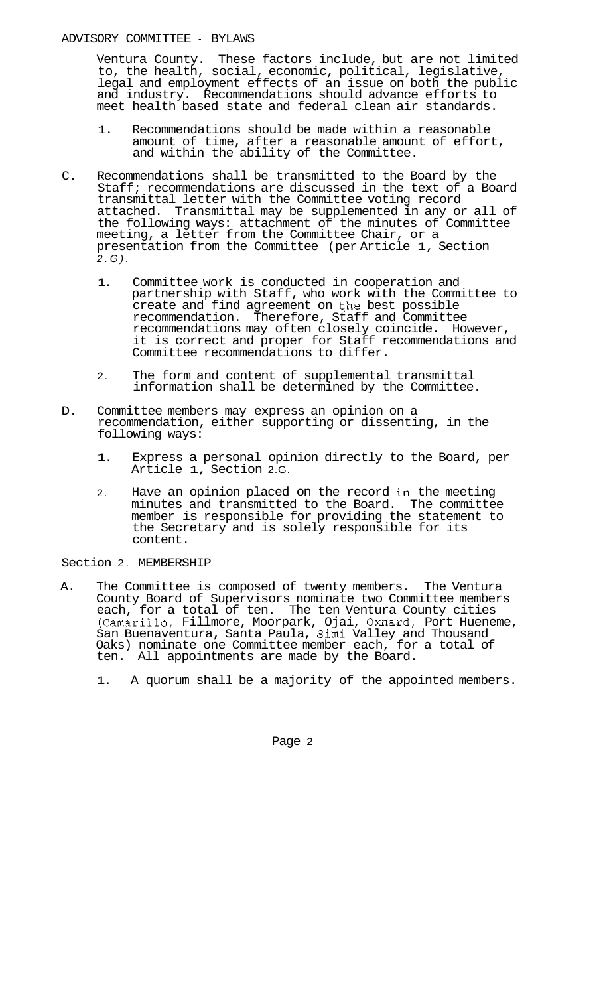Ventura County. These factors include, but are not limited to, the health, social, economic, political, legislative, legal and employment effects of an issue on both the public and industry. Recommendations should advance efforts to meet health based state and federal clean air standards.

- 1. Recommendations should be made within a reasonable amount of time, after a reasonable amount of effort, and within the ability of the Committee.
- C. Recommendations shall be transmitted to the Board by the Staff; recommendations are discussed in the text of a Board transmittal letter with the Committee voting record attached. Transmittal may be supplemented in any or all of the following ways: attachment of the minutes of Committee meeting, a letter from the Committee Chair, or a presentation from the Committee (per Article 1, Section *2.G).* 
	- 1. Committee work is conducted in cooperation and partnership with Staff, who work with the Committee to create and find agreement on the best possible recommendation. Therefore, Staff and Committee recommendations may often closely coincide. However, it is correct and proper for Staff recommendations and Committee recommendations to differ.
	- 2. The form and content of supplemental transmittal information shall be determined by the Committee.
- D. Committee members may express an opinion on a recommendation, either supporting or dissenting, in the following ways:
	- 1. Express a personal opinion directly to the Board, per Article 1, Section 2.G.
	- Have an opinion placed on the record in the meeting minutes and transmitted to the Board. The committee member is responsible for providing the statement to the Secretary and is solely responsible for its content. 2.

## Section 2. MEMBERSHIP

- A. The Committee is composed of twenty members. The Ventura County Board of Supervisors nominate two Committee members each, for a total of ten. The ten Ventura County cities (Camarilla, Fillmore, Moorpark, Ojai, Oxnard, Port Hueneme, San Buenaventura, Santa Paula, Simi Valley and Thousand Oaks) nominate one Committee member each, for a total of ten. All appointments are made by the Board.
	- 1. A quorum shall be a majority of the appointed members.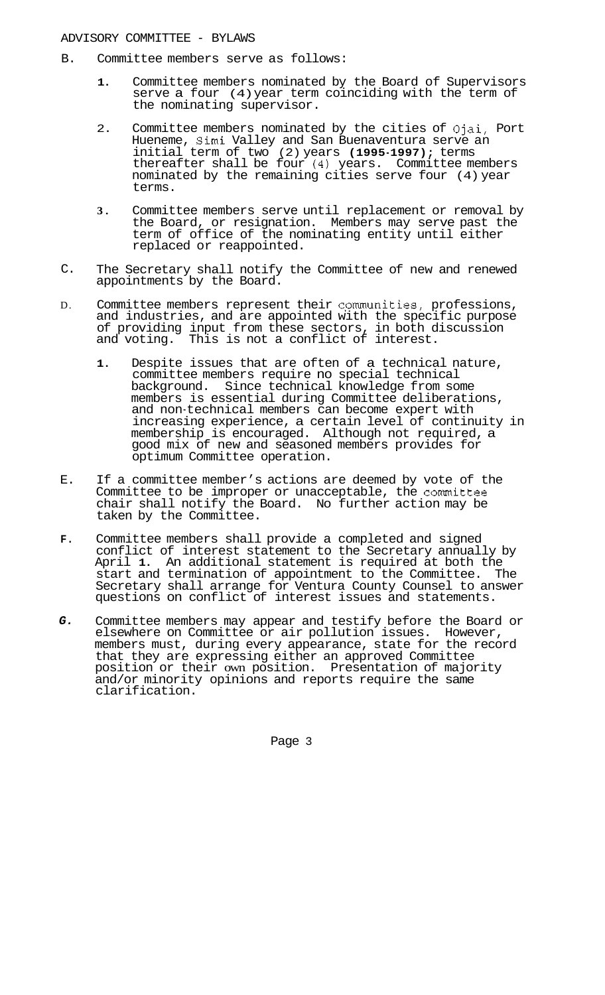- B. Committee members serve as follows:
	- **1.** Committee members nominated by the Board of Supervisors serve a four (4) year term coinciding with the term of the nominating supervisor.
	- 2. Committee members nominated by the cities of Ojai, Port Hueneme, Simi Valley and San Buenaventura serve an initial term of two (2) years **(1995-1997);** terms thereafter shall be four **(4)** years. Committee members nominated by the remaining cities serve four (4) year terms.
	- **3.** Committee members serve until replacement or removal by the Board, or resignation. Members may serve past the term of office of the nominating entity until either replaced or reappointed.
- C. The Secretary shall notify the Committee of new and renewed appointments by the Board.
- D. Committee members represent their cpmmunities, professions, and industries, and are appointed with the specific purpose of providing input from these sectors, in both discussion and voting. This is not a conflict of interest.
	- **1.** Despite issues that are often of a technical nature, committee members require no special technical background. Since technical knowledge from some members is essential during Committee deliberations, and non-technical members can become expert with increasing experience, a certain level of continuity in membership is encouraged. Although not required, a good mix of new and seasoned members provides for optimum Committee operation.
- E. If a committee member's actions are deemed by vote of the Committee to be improper or unacceptable, the cormnittee chair shall notify the Board. No further action may be taken by the Committee.
- **F.**  Committee members shall provide a completed and signed conflict of interest statement to the Secretary annually by April **1.** An additional statement is required at both the start and termination of appointment to the Committee. The Secretary shall arrange for Ventura County Counsel to answer questions on conflict of interest issues and statements.
- *G.*  Committee members may appear and testify before the Board or elsewhere on Committee or air pollution issues. However, members must, during every appearance, state for the record that they are expressing either an approved Committee position or their own position. Presentation of majority and/or minority opinions and reports require the same clarification.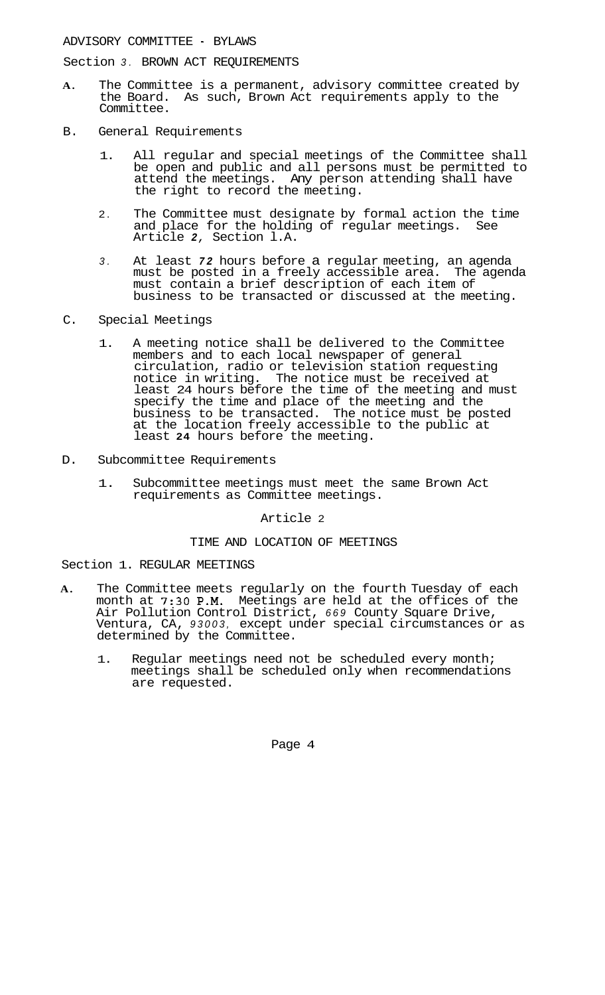Section *3.* BROWN ACT REQUIREMENTS

- **A.** The Committee is a permanent, advisory committee created by the Board. As such, Brown Act requirements apply to the Committee.
- B. General Requirements
	- 1. All regular and special meetings of the Committee shall be open and public and all persons must be permitted to attend the meetings. Any person attending shall have the right to record the meeting.
	- 2. The Committee must designate by formal action the time and place for the holding of regular meetings. See Article *2,* Section l.A.
	- *3.* At least *72* hours before a regular meeting, an agenda must be posted in a freely accessible area. The agenda must contain a brief description of each item of business to be transacted or discussed at the meeting.
- C. Special Meetings
	- 1. A meeting notice shall be delivered to the Committee members and to each local newspaper of general circulation, radio or television station requesting notice in writing. The notice must be received at least 24 hours before the time of the meeting and must specify the time and place of the meeting and the business to be transacted. The notice must be posted at the location freely accessible to the public at least **24** hours before the meeting.
- D. Subcommittee Requirements
	- 1. Subcommittee meetings must meet the same Brown Act requirements as Committee meetings.

Article 2

# TIME AND LOCATION OF MEETINGS

Section 1. REGULAR MEETINGS

- **A.** The Committee meets regularly on the fourth Tuesday of each month at *7:30* **P.M.** Meetings are held at the offices of the Air Pollution Control District, *669* County Square Drive, Ventura, CA, *93003,* except under special circumstances or as determined by the Committee.
	- 1. Regular meetings need not be scheduled every month; meetings shall be scheduled only when recommendations are requested.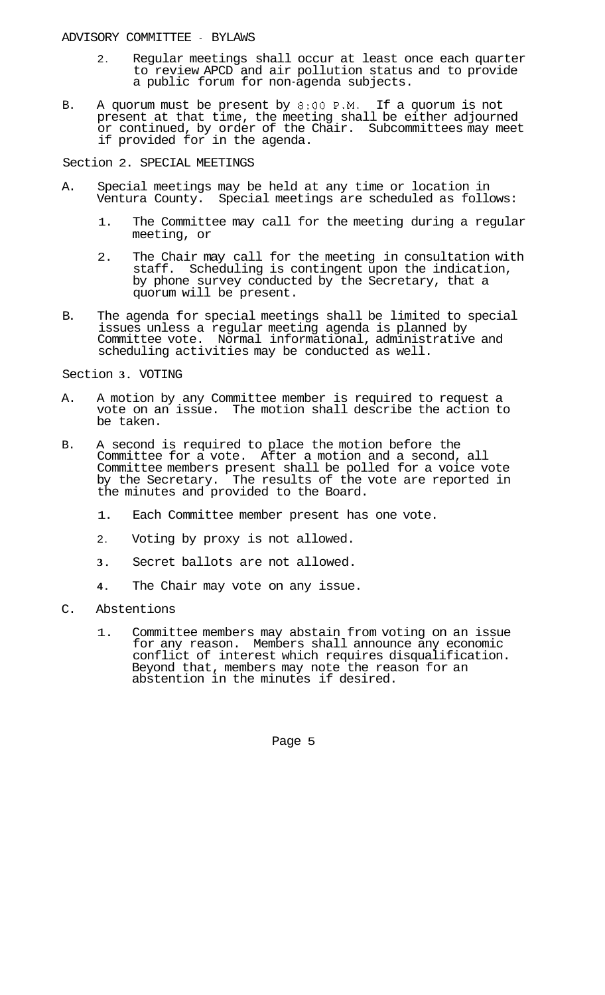- 2. Regular meetings shall occur at least once each quarter to review APCD and air pollution status and to provide a public forum for non-agenda subjects.
- B. A quorum must be present by **8:OO** P.M. If a quorum is not present at that time, the meeting shall be either adjourned or continued, by order of the Chair. Subcommittees may meet if provided for in the agenda.

Section 2. SPECIAL MEETINGS

- A. Special meetings may be held at any time or location in Ventura County. Special meetings are scheduled as follows:
	- 1. The Committee may call for the meeting during a regular meeting, or
	- 2. The Chair may call for the meeting in consultation with staff. Scheduling is contingent upon the indication, by phone survey conducted by the Secretary, that a quorum will be present.
- The agenda for special meetings shall be limited to special issues unless a regular meeting agenda is planned by Committee vote. Normal informational, administrative and scheduling activities may be conducted as well. B.

#### Section **3.** VOTING

- A. A motion by any Committee member is required to request a vote on an issue. The motion shall describe the action to be taken.
- B. A second is required to place the motion before the Committee for a vote. After a motion and a second, all Committee members present shall be polled for a voice vote by the Secretary. The results of the vote are reported in the minutes and provided to the Board.
	- 1. Each Committee member present has one vote.
	- 2. Voting by proxy is not allowed.
	- **3.** Secret ballots are not allowed.
	- **4.** The Chair may vote on any issue.
- C. Abstentions
	- 1. Committee members may abstain from voting on an issue for any reason. Members shall announce any economic conflict of interest which requires disqualification. Beyond that, members may note the reason for an abstention in the minutes if desired.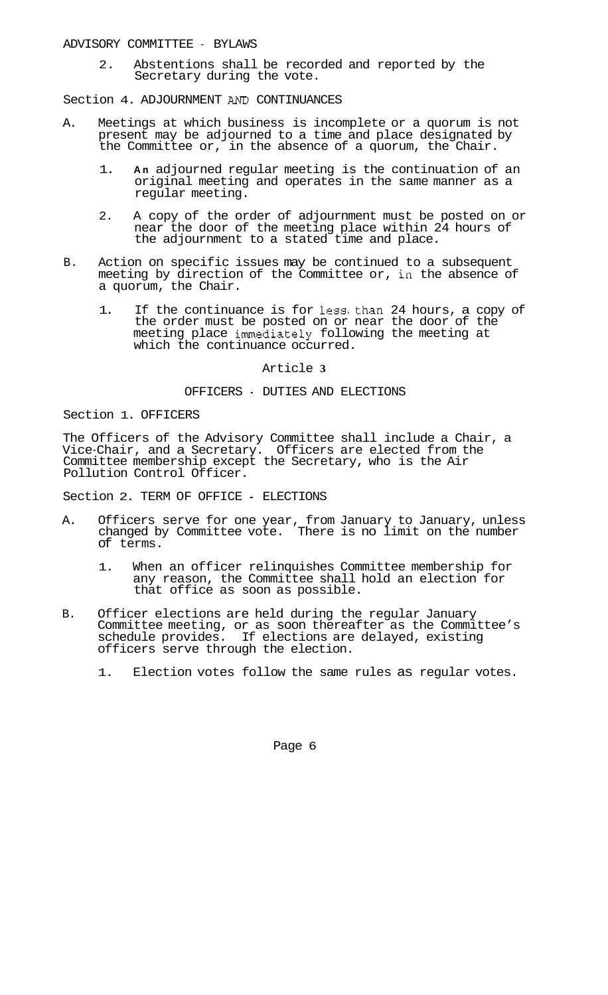2. Abstentions shall be recorded and reported by the Secretary during the vote.

Section 4. ADJOURNMENT *AND* CONTINUANCES

- A. Meetings at which business is incomplete or a quorum is not present may be adjourned to a time and place designated by the Committee or, in the absence of a quorum, the Chair.
	- 1. **An** adjourned regular meeting is the continuation of an original meeting and operates in the same manner as a regular meeting.
	- near the door of the meeting place within 24 hours of the adjournment to a stated time and place. 2. A copy of the order of adjournment must be posted on or
- B. Action on specific issues may be continued to a subsequent meeting by direction of the Committee or, in the absence of a quorum, the Chair.
	- 1. If the continuance is for less. than 24 hours, a copy of the order must be posted on or near the door of the meeting place immediately following the meeting at which the continuance occurred.

## Article **3**

## OFFICERS - DUTIES AND ELECTIONS

Section 1. OFFICERS

The Officers of the Advisory Committee shall include a Chair, a Vice-Chair, and a Secretary. Officers are elected from the Committee membership except the Secretary, who is the Air Pollution Control Officer.

Section 2. TERM OF OFFICE - ELECTIONS

- A. Officers serve for one year, from January to January, unless changed by Committee vote. There is no limit on the number of terms.
	- 1. When an officer relinquishes Committee membership for any reason, the Committee shall hold an election for that office as soon as possible.
- B. Officer elections are held during the regular January Committee meeting, or as soon thereafter as the Committee's schedule provides. If elections are delayed, existing officers serve through the election.
	- 1. Election votes follow the same rules as regular votes.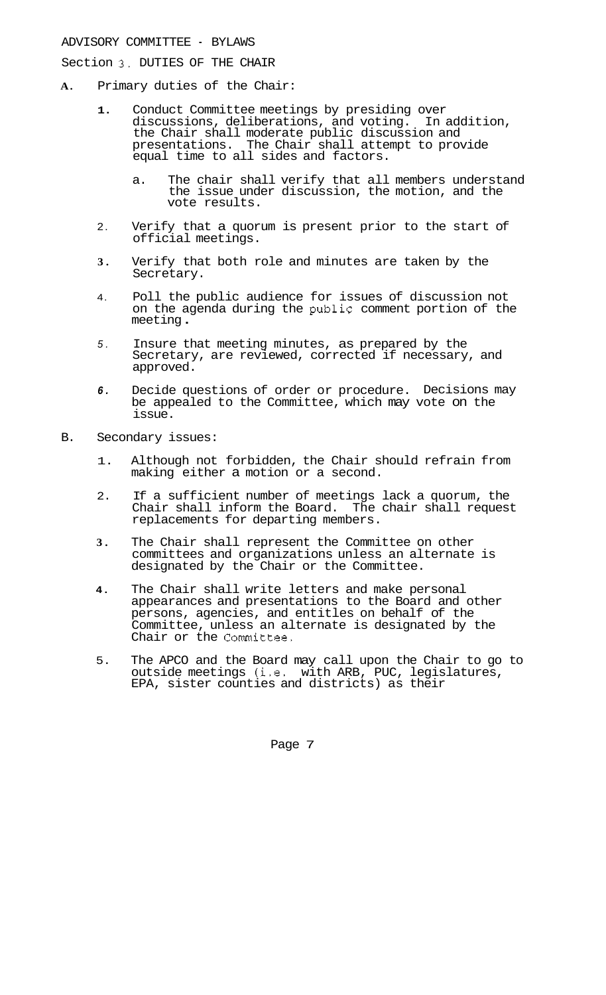Section **3.** DUTIES OF THE CHAIR

- **A.** Primary duties of the Chair:
	- **1.**  Conduct Committee meetings by presiding over discussions, deliberations, and voting. In addition, the Chair shall moderate public discussion and presentations. The Chair shall attempt to provide equal time to all sides and factors.
		- a. The chair shall verify that all members understand the issue under discussion, the motion, and the vote results.
	- 2. Verify that a quorum is present prior to the start of official meetings.
	- **3.**  Verify that both role and minutes are taken by the Secretary.
	- 4. Poll the public audience for issues of discussion not on the agenda during the public comment portion of the meeting .
	- *5.*  Insure that meeting minutes, as prepared by the Secretary, are reviewed, corrected if necessary, and approved.
	- *6.*  Decide questions of order or procedure. be appealed to the Committee, which may vote on the issue. Decisions may
- B. Secondary issues:
	- 1. Although not forbidden, the Chair should refrain from making either a motion or a second.
	- 2. If a sufficient number of meetings lack a quorum, the Chair shall inform the Board. The chair shall request replacements for departing members.
	- **3.** The Chair shall represent the Committee on other committees and organizations unless an alternate is designated by the Chair or the Committee.
	- **4.** The Chair shall write letters and make personal appearances and presentations to the Board and other persons, agencies, and entitles on behalf of the Committee, unless an alternate is designated by the Chair or the Committee.
	- 5. The APCO and the Board may call upon the Chair to go to outside meetings (i.e. with ARB, PUC, legislatures, EPA, sister counties and districts) as their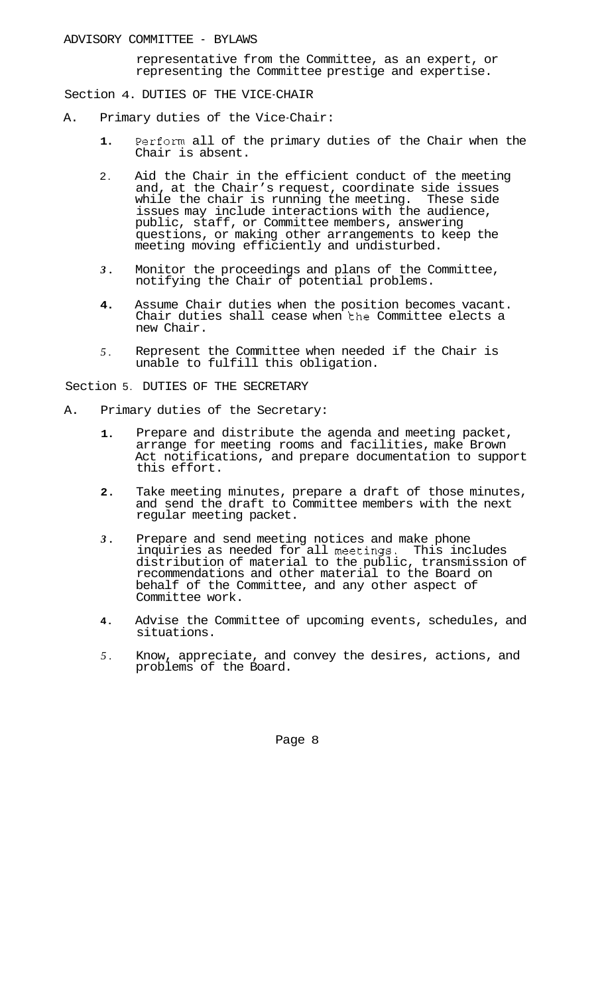representative from the Committee, as an expert, or representing the Committee prestige and expertise.

Section 4. DUTIES OF THE VICE-CHAIR

- A. Primary duties of the Vice-Chair:
	- **1.**  Perform all of the primary duties of the Chair when the Chair is absent.
	- $\mathcal{L}$ Aid the Chair in the efficient conduct of the meeting and, at the Chair's request, coordinate side issues while the chair is running the meeting. These side issues may include interactions with the audience, public, staff, or Committee members, answering questions, or making other arrangements to keep the meeting moving efficiently and undisturbed.
	- *3.*  Monitor the proceedings and plans of the Committee, notifying the Chair of potential problems.
	- **4.**  Assume Chair duties when the position becomes vacant. Chair duties shall cease when the Committee elects a new Chair.
	- *5.*  Represent the Committee when needed if the Chair is unable to fulfill this obligation.

Section 5. DUTIES OF THE SECRETARY

- A. Primary duties of the Secretary:
	- **1.**  Prepare and distribute the agenda and meeting packet, arrange for meeting rooms and facilities, make Brown Act notifications, and prepare documentation to support this effort.
	- **2.**  Take meeting minutes, prepare a draft of those minutes, and send the draft to Committee members with the next regular meeting packet.
	- *3.*  Prepare and send meeting notices and make phone inquiries as needed for all meetings. This includes distribution of material to the public, transmission of recommendations and other material to the Board on behalf of the Committee, and any other aspect of Committee work.
	- **4.**  Advise the Committee of upcoming events, schedules, and situations.
	- *5.*  Know, appreciate, and convey the desires, actions, and problems of the Board.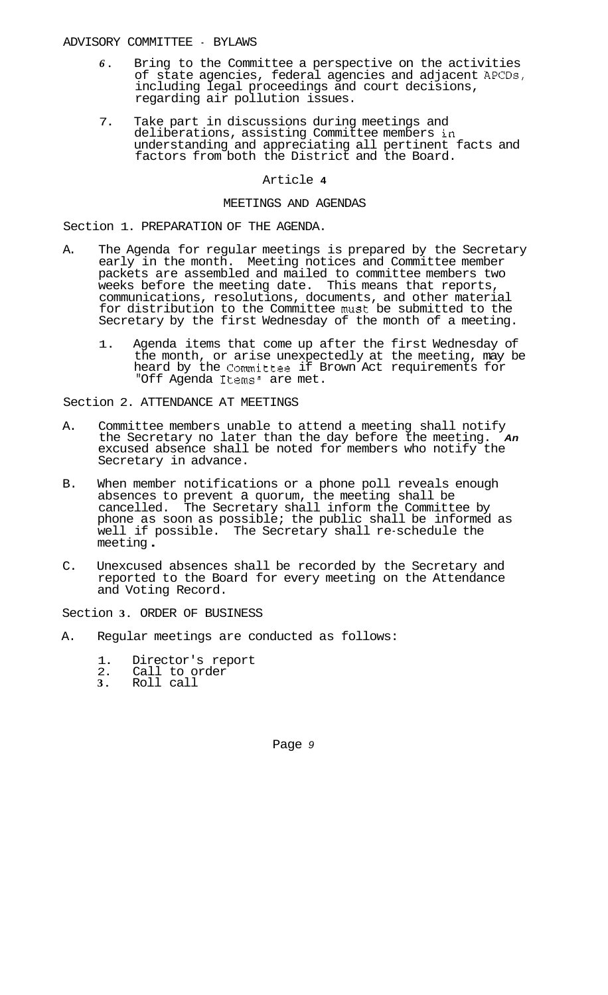- *6.* Bring to the Committee a perspective on the activities of state agencies, federal agencies and adjacent APCDs, including legal proceedings and court decisions, regarding air pollution issues.
- deliberations, assisting Committee members in understanding and appreciating all pertinent facts and factors from both the District and the Board. 7. Take part in discussions during meetings and

## Article **4**

## MEETINGS AND AGENDAS

Section 1. PREPARATION OF THE AGENDA.

- A. The Agenda for regular meetings is prepared by the Secretary early in the month. Meeting notices and Committee member packets are assembled and mailed to committee members two weeks before the meeting date. This means that reports, communications, resolutions, documents, and other material for distribution to the Committee must be submitted to the Secretary by the first Wednesday of the month of a meeting.
	- 1. Agenda items that come up after the first Wednesday of the month, or arise unexpectedly at the meeting, may be heard by the Committee if Brown Act requirements for "Off Agenda Items" are met.

Section 2. ATTENDANCE AT MEETINGS

- A. Committee members unable to attend a meeting shall notify the Secretary no later than the day before the meeting. *An*  excused absence shall be noted for members who notify the Secretary in advance.
- B. When member notifications or a phone poll reveals enough absences to prevent a quorum, the meeting shall be cancelled. The Secretary shall inform the Committee by phone as soon as possible; the public shall be informed as well if possible. The Secretary shall re-schedule the meeting .
- C. Unexcused absences shall be recorded by the Secretary and reported to the Board for every meeting on the Attendance and Voting Record.

Section **3.** ORDER OF BUSINESS

- A. Regular meetings are conducted as follows:
	- 1. Director's report<br>2. Call to order
	- 2. Call to order
	- **3.** Roll call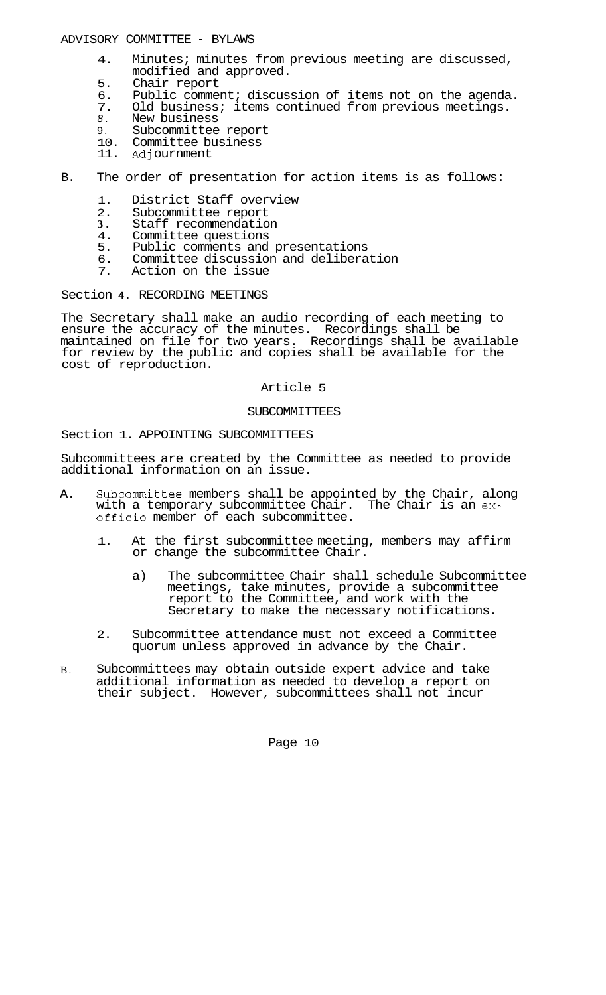- 4. Minutes; minutes from previous meeting are discussed, modified and approved.
- 5. Chair report<br>6. Public commer
- 6. Public comment; discussion of items not on the agenda.<br>7. Old business; items continued from previous meetings.
- 7. Old business; items continued from previous meetings.<br>8. New business
- *8.* New business
- 9. Subcommittee report
- 10. Committee business
- 11. Adjournment
- B. The order of presentation for action items is as follows:
	- 1. District Staff overview<br>2. Subcommittee report
	- 2. Subcommittee report<br>3. Staff recommendation
	- **3.** Staff recommendation<br>4. Committee questions
	- 4. Committee questions<br>5. Public comments and
	-
	- 5. Public comments and presentations<br>6. Committee discussion and delibera 6. Committee discussion and deliberation
	- Action on the issue

### Section **4.** RECORDING MEETINGS

The Secretary shall make an audio recording of each meeting to ensure the accuracy of the minutes. Recordings shall be maintained on file for two years. Recordings shall be available for review by the public and copies shall be available for the cost of reproduction.

### Article 5

#### SUBCOMMITTEES

### Section 1. APPOINTING SUBCOMMITTEES

Subcommittees are created by the Committee as needed to provide additional information on an issue.

- A. Subcommittee members shall be appointed by the Chair, along with a temporary subcommittee Chair. The Chair is an **ex**officio member of each subcommittee.
	- 1. At the first subcommittee meeting, members may affirm or change the subcommittee Chair.
		- a) The subcommittee Chair shall schedule Subcommittee meetings, take minutes, provide a subcommittee report to the Committee, and work with the Secretary to make the necessary notifications.
	- 2. Subcommittee attendance must not exceed a Committee quorum unless approved in advance by the Chair.
- B. Subcommittees may obtain outside expert advice and take additional information as needed to develop a report on their subject. However, subcommittees shall not incur